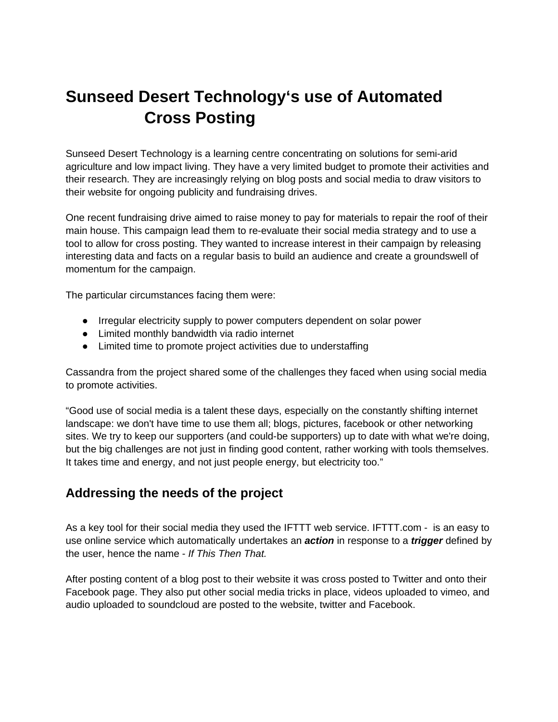# **Sunseed Desert Technology's use of Automated Cross Posting**

Sunseed Desert Technology is a learning centre concentrating on solutions for semi-arid agriculture and low impact living. They have a very limited budget to promote their activities and their research. They are increasingly relying on blog posts and social media to draw visitors to their website for ongoing publicity and fundraising drives.

One recent fundraising drive aimed to raise money to pay for materials to repair the roof of their main house. This campaign lead them to re-evaluate their social media strategy and to use a tool to allow for cross posting. They wanted to increase interest in their campaign by releasing interesting data and facts on a regular basis to build an audience and create a groundswell of momentum for the campaign.

The particular circumstances facing them were:

- Irregular electricity supply to power computers dependent on solar power
- Limited monthly bandwidth via radio internet
- Limited time to promote project activities due to understaffing

Cassandra from the project shared some of the challenges they faced when using social media to promote activities.

"Good use of social media is a talent these days, especially on the constantly shifting internet landscape: we don't have time to use them all; blogs, pictures, facebook or other networking sites. We try to keep our supporters (and could-be supporters) up to date with what we're doing, but the big challenges are not just in finding good content, rather working with tools themselves. It takes time and energy, and not just people energy, but electricity too."

### **Addressing the needs of the project**

As a key tool for their social media they used the IFTTT web service. IFTTT.com - is an easy to use online service which automatically undertakes an *action* in response to a *trigger* defined by the user, hence the name - *If This Then That.* 

After posting content of a blog post to their website it was cross posted to Twitter and onto their Facebook page. They also put other social media tricks in place, videos uploaded to vimeo, and audio uploaded to soundcloud are posted to the website, twitter and Facebook.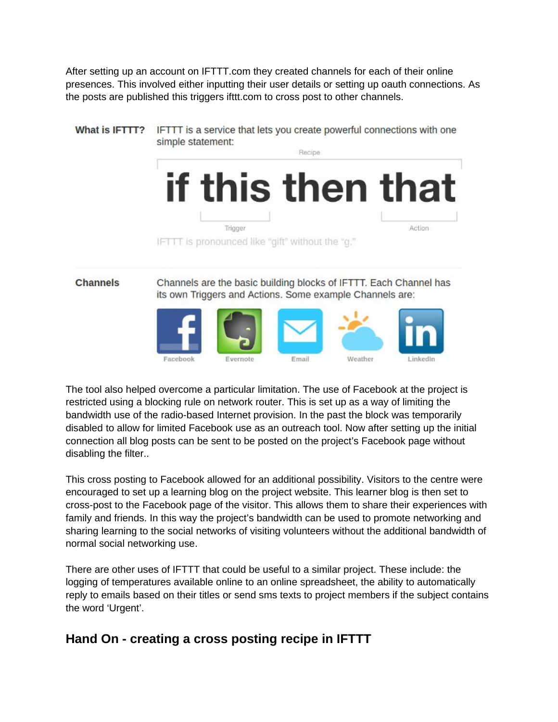After setting up an account on IFTTT.com they created channels for each of their online presences. This involved either inputting their user details or setting up oauth connections. As the posts are published this triggers ifttt.com to cross post to other channels.



The tool also helped overcome a particular limitation. The use of Facebook at the project is restricted using a blocking rule on network router. This is set up as a way of limiting the bandwidth use of the radio-based Internet provision. In the past the block was temporarily disabled to allow for limited Facebook use as an outreach tool. Now after setting up the initial connection all blog posts can be sent to be posted on the project's Facebook page without disabling the filter..

This cross posting to Facebook allowed for an additional possibility. Visitors to the centre were encouraged to set up a learning blog on the project website. This learner blog is then set to cross-post to the Facebook page of the visitor. This allows them to share their experiences with family and friends. In this way the project's bandwidth can be used to promote networking and sharing learning to the social networks of visiting volunteers without the additional bandwidth of normal social networking use.

There are other uses of IFTTT that could be useful to a similar project. These include: the logging of temperatures available online to an online spreadsheet, the ability to automatically reply to emails based on their titles or send sms texts to project members if the subject contains the word 'Urgent'.

## **Hand On - creating a cross posting recipe in IFTTT**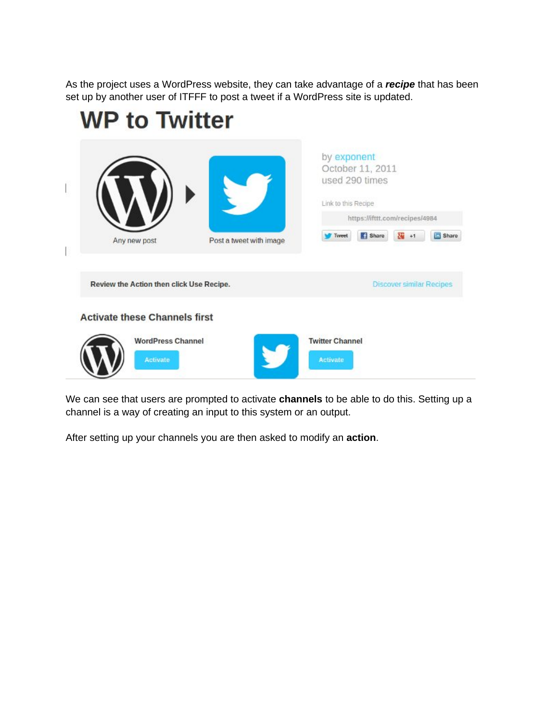As the project uses a WordPress website, they can take advantage of a *recipe* that has been set up by another user of ITFFF to post a tweet if a WordPress site is updated.



We can see that users are prompted to activate **channels** to be able to do this. Setting up a channel is a way of creating an input to this system or an output.

After setting up your channels you are then asked to modify an **action**.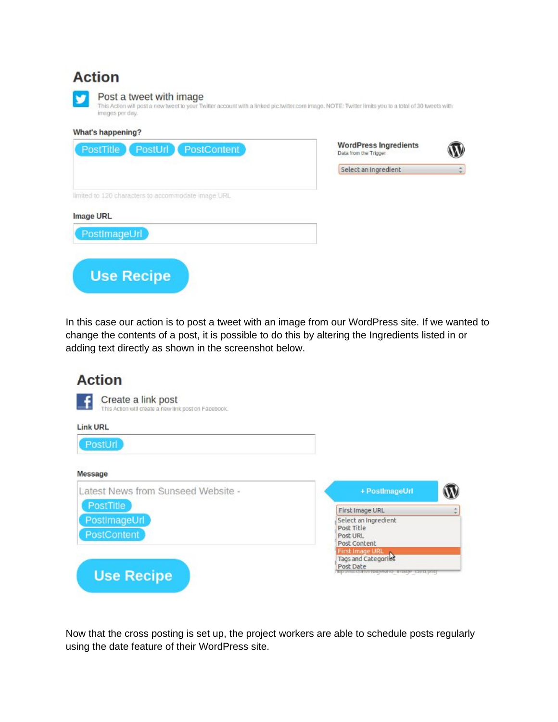## **Action**



#### Post a tweet with image

This Action will post a new tweet to your Twitter account with a linked pic.twitter.com image. NOTE: Twitter limits you to a total of 30 tweets with images per day.

## What's happening?

**Use Recipe** 

| PostUrl PostContent<br>PostTitle                   | <b>WordPress Ingredients</b><br>Data from the Trigger |                          |
|----------------------------------------------------|-------------------------------------------------------|--------------------------|
|                                                    | Select an Ingredient                                  | $\overline{\phantom{a}}$ |
| limited to 120 characters to accommodate image URL |                                                       |                          |
| Image URL                                          |                                                       |                          |
| PostImageUrl                                       |                                                       |                          |

In this case our action is to post a tweet with an image from our WordPress site. If we wanted to change the contents of a post, it is possible to do this by altering the Ingredients listed in or adding text directly as shown in the screenshot below.

| <b>Action</b>                                                              |                                    |  |
|----------------------------------------------------------------------------|------------------------------------|--|
| Create a link post<br>This Action will create a new link post on Facebook. |                                    |  |
| <b>Link URL</b>                                                            |                                    |  |
| PostUrl                                                                    |                                    |  |
| Message                                                                    |                                    |  |
| Latest News from Sunseed Website -                                         | + PostImageUrl                     |  |
| PostTitle                                                                  | First Image URL                    |  |
| PostImageUrl                                                               | Select an Ingredient<br>Post Title |  |
| <b>PostContent</b>                                                         | Post URL<br>Post Content           |  |
|                                                                            | First Image URL                    |  |

Now that the cross posting is set up, the project workers are able to schedule posts regularly using the date feature of their WordPress site.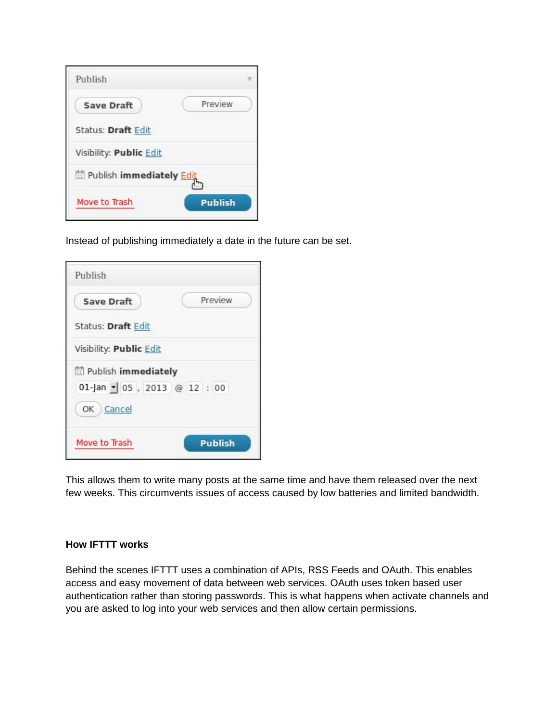| Publish                           |                |
|-----------------------------------|----------------|
| <b>Save Draft</b>                 | Preview        |
| <b>Status: Draft Edit</b>         |                |
| Visibility: Public Edit           |                |
| <b>量 Publish immediately Edit</b> |                |
| Move to Trash                     | <b>Publish</b> |

Instead of publishing immediately a date in the future can be set.

| Publish                                                      |                |
|--------------------------------------------------------------|----------------|
| <b>Save Draft</b>                                            | Preview        |
| <b>Status: Draft Edit</b>                                    |                |
| Visibility: Public Edit                                      |                |
| <b>H</b> Publish immediately<br>$01$ -Jan - 05, 2013 @ 12:00 |                |
| OK Cancel                                                    |                |
| Move to Trash                                                | <b>Publish</b> |

This allows them to write many posts at the same time and have them released over the next few weeks. This circumvents issues of access caused by low batteries and limited bandwidth.

#### **How IFTTT works**

Behind the scenes IFTTT uses a combination of APIs, RSS Feeds and OAuth. This enables access and easy movement of data between web services. OAuth uses token based user authentication rather than storing passwords. This is what happens when activate channels and you are asked to log into your web services and then allow certain permissions.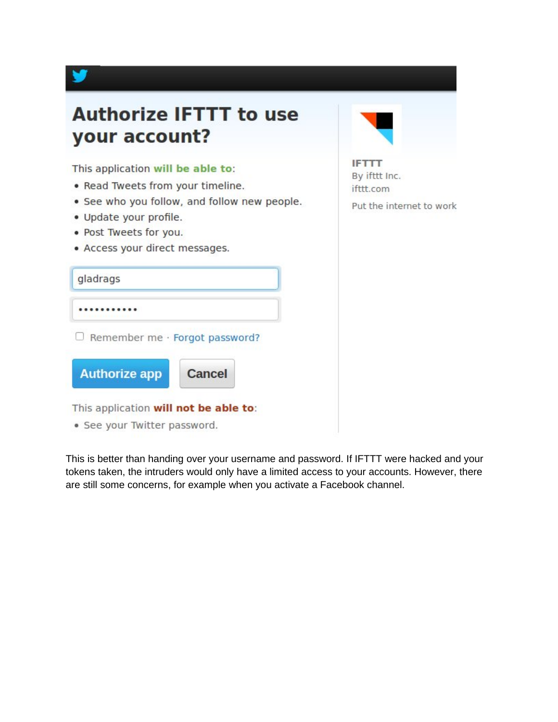

This is better than handing over your username and password. If IFTTT were hacked and your tokens taken, the intruders would only have a limited access to your accounts. However, there are still some concerns, for example when you activate a Facebook channel.